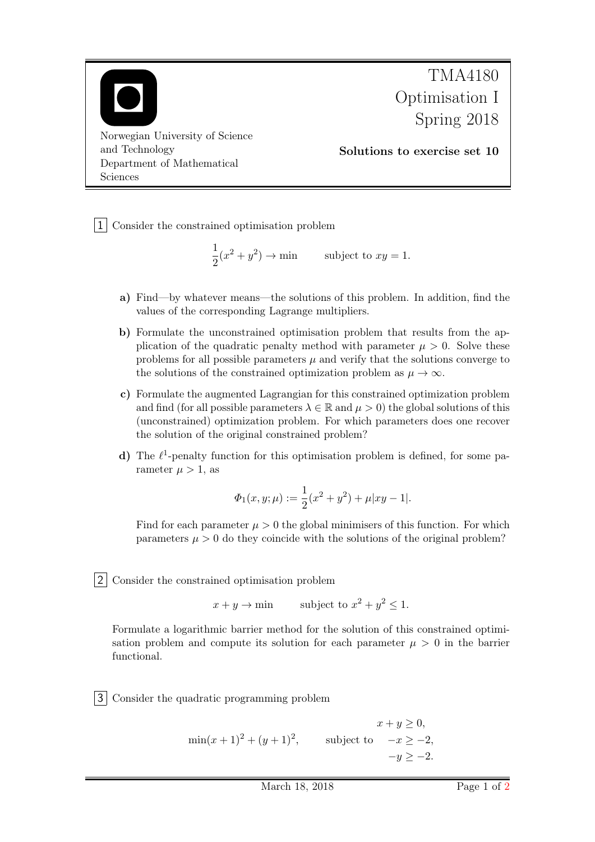

1 Consider the constrained optimisation problem

$$
\frac{1}{2}(x^2 + y^2) \to \min \qquad \text{subject to } xy = 1.
$$

- a) Find—by whatever means—the solutions of this problem. In addition, find the values of the corresponding Lagrange multipliers.
- b) Formulate the unconstrained optimisation problem that results from the application of the quadratic penalty method with parameter  $\mu > 0$ . Solve these problems for all possible parameters  $\mu$  and verify that the solutions converge to the solutions of the constrained optimization problem as  $\mu \to \infty$ .
- c) Formulate the augmented Lagrangian for this constrained optimization problem and find (for all possible parameters  $\lambda \in \mathbb{R}$  and  $\mu > 0$ ) the global solutions of this (unconstrained) optimization problem. For which parameters does one recover the solution of the original constrained problem?
- d) The  $\ell^1$ -penalty function for this optimisation problem is defined, for some parameter  $\mu > 1$ , as

$$
\varPhi_1(x,y;\mu):=\frac{1}{2}(x^2+y^2)+\mu|xy-1|.
$$

Find for each parameter  $\mu > 0$  the global minimisers of this function. For which parameters  $\mu > 0$  do they coincide with the solutions of the original problem?

2 Consider the constrained optimisation problem

 $x + y \rightarrow \text{min}$  subject to  $x^2 + y^2 \leq 1$ .

Formulate a logarithmic barrier method for the solution of this constrained optimisation problem and compute its solution for each parameter  $\mu > 0$  in the barrier functional.

3 Consider the quadratic programming problem

 $\min(x+1)^2 + (y+1)^2$ , subject to  $-x \ge -2$ ,  $x + y \geq 0$ ,  $-y \geq -2.$